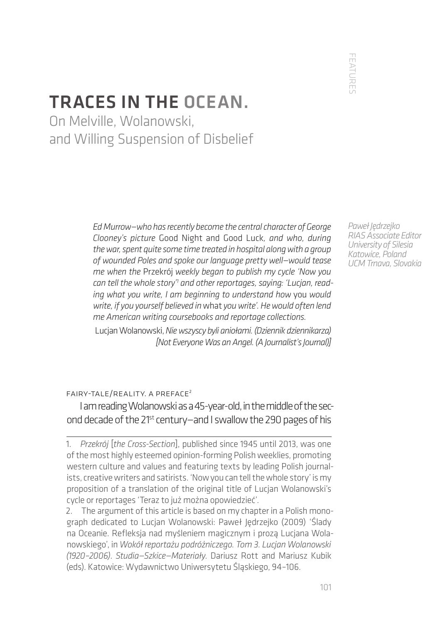FEATURES FEATURES

# TRACES IN THE OCEAN.

On Melville, Wolanowski, and Willing Suspension of Disbelief

> *Ed Murrow—who has recently become the central character of George Clooney's picture* Good Night and Good Luck*, and who, during the war, spent quite some time treated in hospital along with a group of wounded Poles and spoke our language pretty well—would tease me when the* Przekrój *weekly began to publish my cycle 'Now you can tell the whole story'1 and other reportages, saying: 'Lucjan, reading what you write, I am beginning to understand how* you *would write, if you yourself believed in* what *you write'. He would often lend me American writing coursebooks and reportage collections.*

> Lucjan Wolanowski, *Nie wszyscy byli aniołami. (Dziennik dziennikarza) [Not Everyone Was an Angel. (A Journalist's Journal)]*

*Paweł Jędrzejko RIAS Associate Editor University of Silesia Katowice, Poland UCM Trnava, Slovakia*

#### fairy-tale/reality. a preface2

I am reading Wolanowski as a 45-year-old, in the middle of the second decade of the 21<sup>st</sup> century-and I swallow the 290 pages of his

<sup>1.</sup> *Przekrój* [*the Cross-Section*], published since 1945 until 2013, was one of the most highly esteemed opinion-forming Polish weeklies, promoting western culture and values and featuring texts by leading Polish journalists, creative writers and satirists. 'Now you can tell the whole story' is my proposition of a translation of the original title of Lucjan Wolanowski's cycle or reportages 'Teraz to już można opowiedzieć'.

<sup>2.</sup> The argument of this article is based on my chapter in a Polish monograph dedicated to Lucjan Wolanowski: Paweł Jędrzejko (2009) 'Ślady na Oceanie. Refleksja nad myśleniem magicznym i prozą Lucjana Wolanowskiego', in *Wokół reportażu podróżniczego. Tom 3. Lucjan Wolanowski (1920–2006)*. *Studia—Szkice—Materiały*. Dariusz Rott and Mariusz Kubik (eds). Katowice: Wydawnictwo Uniwersytetu Śląskiego, 94–106.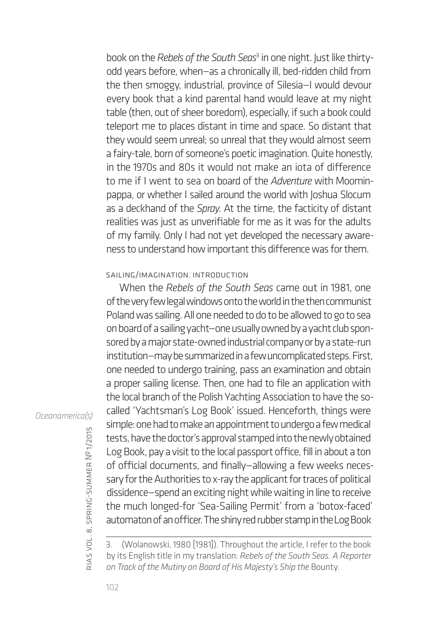book on the *Rebels of the South Seas*<sup>3</sup> in one night. Just like thirtyodd years before, when—as a chronically ill, bed-ridden child from the then smoggy, industrial, province of Silesia—I would devour every book that a kind parental hand would leave at my night table (then, out of sheer boredom), especially, if such a book could teleport me to places distant in time and space. So distant that they would seem unreal; so unreal that they would almost seem a fairy-tale, born of someone's poetic imagination. Quite honestly, in the 1970s and 80s it would not make an iota of difference to me if I went to sea on board of the *Adventure* with Moominpappa, or whether I sailed around the world with Joshua Slocum as a deckhand of the *Spray*. At the time, the facticity of distant realities was just as unverifiable for me as it was for the adults of my family. Only I had not yet developed the necessary awareness to understand how important this difference was for them.

### sailing/imagination. introduction

When the *Rebels of the South Seas* came out in 1981, one of the very few legal windows onto the world in the then communist Poland was sailing. All one needed to do to be allowed to go to sea on board of a sailing yacht—one usually owned by a yacht club sponsored by a major state-owned industrial company or by a state-run institution—may be summarized in a few uncomplicated steps. First, one needed to undergo training, pass an examination and obtain a proper sailing license. Then, one had to file an application with the local branch of the Polish Yachting Association to have the socalled 'Yachtsman's Log Book' issued. Henceforth, things were simple: one had to make an appointment to undergo a few medical tests, have the doctor's approval stamped into the newly obtained Log Book, pay a visit to the local passport office, fill in about a ton of official documents, and finally—allowing a few weeks necessary for the Authorities to x-ray the applicant for traces of political dissidence—spend an exciting night while waiting in line to receive the much longed-for 'Sea-Sailing Permit' from a 'botox-faced' automaton of an officer. The shiny red rubber stamp in the Log Book

## *Oceanamerica(s)*

<sup>(</sup>Wolanowski, 1980 [1981]). Throughout the article, I refer to the book by its English title in my translation: *Rebels of the South Seas. A Reporter on Track of the Mutiny on Board of His Majesty's Ship the* Bounty.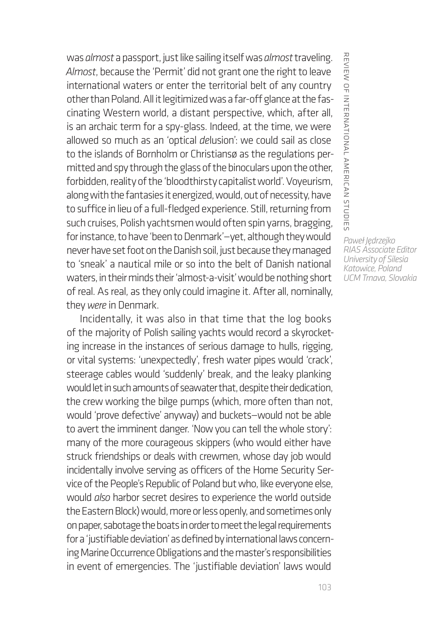was *almost* a passport, just like sailing itself was *almost* traveling. *Almost*, because the 'Permit' did not grant one the right to leave international waters or enter the territorial belt of any country other than Poland. All it legitimized was a far-off glance at the fascinating Western world, a distant perspective, which, after all, is an archaic term for a spy-glass. Indeed, at the time, we were allowed so much as an 'optical *de*lusion': we could sail as close to the islands of Bornholm or Christiansø as the regulations permitted and spy through the glass of the binoculars upon the other, forbidden, reality of the 'bloodthirsty capitalist world'. Voyeurism, along with the fantasies it energized, would, out of necessity, have to suffice in lieu of a full-fledged experience. Still, returning from such cruises, Polish yachtsmen would often spin yarns, bragging, for instance, to have 'been to Denmark'—yet, although they would never have set foot on the Danish soil, just because they managed to 'sneak' a nautical mile or so into the belt of Danish national waters, in their minds their 'almost-a-visit' would be nothing short of real. As real, as they only could imagine it. After all, nominally, they *were* in Denmark.

Incidentally, it was also in that time that the log books of the majority of Polish sailing yachts would record a skyrocketing increase in the instances of serious damage to hulls, rigging, or vital systems: 'unexpectedly', fresh water pipes would 'crack', steerage cables would 'suddenly' break, and the leaky planking would let in such amounts of seawater that, despite their dedication, the crew working the bilge pumps (which, more often than not, would 'prove defective' anyway) and buckets—would not be able to avert the imminent danger. 'Now you can tell the whole story': many of the more courageous skippers (who would either have struck friendships or deals with crewmen, whose day job would incidentally involve serving as officers of the Home Security Service of the People's Republic of Poland but who, like everyone else, would *also* harbor secret desires to experience the world outside the Eastern Block) would, more or less openly, and sometimes only on paper, sabotage the boats in order to meet the legal requirements for a 'justifiable deviation' as defined by international laws concerning Marine Occurrence Obligations and the master's responsibilities in event of emergencies. The 'justifiable deviation' laws would

REVIEW OF INTERNATIONAL AMERICAN STUDIES review of international american studies *Paweł Jędrzejko RIAS Associate Editor University of Silesia Katowice, Poland*

*UCM Trnava, Slovakia*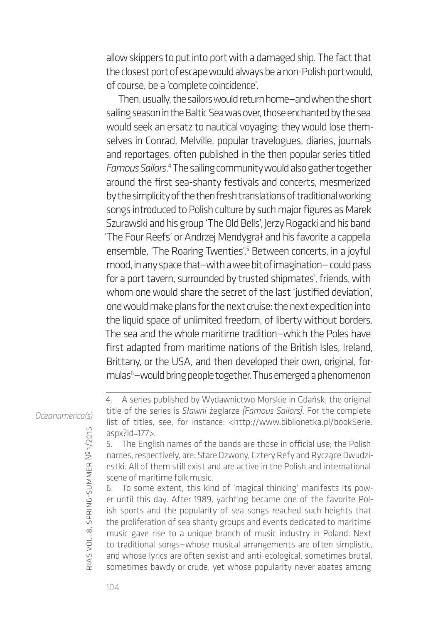allow skippers to put into port with a damaged ship. The fact that the closest port of escape would always be a non-Polish port would, of course, be a 'complete coincidence'.

Then, usually, the sailors would return home—and when the short sailing season in the Baltic Sea was over, those enchanted by the sea would seek an ersatz to nautical voyaging: they would lose themselves in Conrad, Melville, popular travelogues, diaries, journals and reportages, often published in the then popular series titled Famous Sailors.<sup>4</sup> The sailing community would also gather together around the first sea-shanty festivals and concerts, mesmerized by the simplicity of the then fresh translations of traditional working songs introduced to Polish culture by such major figures as Marek Szurawski and his group 'The Old Bells', Jerzy Rogacki and his band 'The Four Reefs' or Andrzej Mendygrał and his favorite a cappella ensemble, 'The Roaring Twenties'.5 Between concerts, in a joyful mood, in any space that—with a wee bit of imagination— could pass for a port tavern, surrounded by trusted shipmates', friends, with whom one would share the secret of the last 'justified deviation', one would make plans for the next cruise: the next expedition into the liquid space of unlimited freedom, of liberty without borders. The sea and the whole maritime tradition—which the Poles have first adapted from maritime nations of the British Isles, Ireland, Brittany, or the USA, and then developed their own, original, formulas<sup>6</sup>-would bring people together. Thus emerged a phenomenon

*Oceanamerica(s)*

6. To some extent, this kind of 'magical thinking' manifests its power until this day. After 1989, yachting became one of the favorite Polish sports and the popularity of sea songs reached such heights that the proliferation of sea shanty groups and events dedicated to maritime music gave rise to a unique branch of music industry in Poland. Next to traditional songs—whose musical arrangements are often simplistic, and whose lyrics are often sexist and anti-ecological, sometimes brutal, sometimes bawdy or crude, yet whose popularity never abates among

rias

vol. 8, spring-summer

№ 1/2015

<sup>4.</sup> A series published by Wydawnictwo Morskie in Gdańsk; the original title of the series is *Sławni* żeglarze *[Famous Sailors]*. For the complete list of titles, see, for instance: <http://www.biblionetka.pl/bookSerie. aspx?id=177>.

<sup>5.</sup> The English names of the bands are those in official use; the Polish names, respectively, are: Stare Dzwony, Cztery Refy and Ryczące Dwudziestki. All of them still exist and are active in the Polish and international scene of maritime folk music.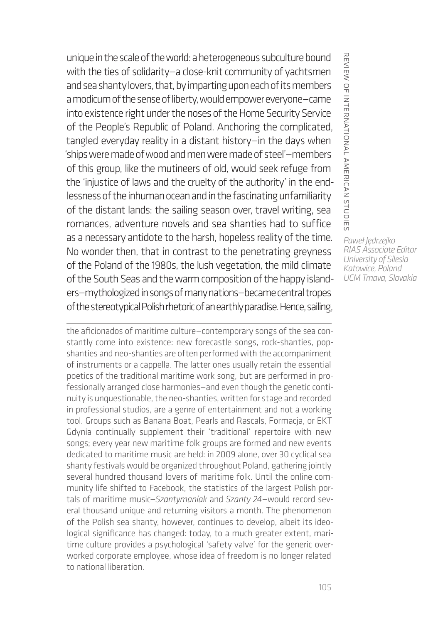unique in the scale of the world: a heterogeneous subculture bound with the ties of solidarity—a close-knit community of yachtsmen and sea shanty lovers, that, by imparting upon each of its members a modicum of the sense of liberty, would empower everyone—came into existence right under the noses of the Home Security Service of the People's Republic of Poland. Anchoring the complicated, tangled everyday reality in a distant history—in the days when 'ships were made of wood and men were made of steel'—members of this group, like the mutineers of old, would seek refuge from the 'injustice of laws and the cruelty of the authority' in the endlessness of the inhuman ocean and in the fascinating unfamiliarity of the distant lands: the sailing season over, travel writing, sea romances, adventure novels and sea shanties had to suffice as a necessary antidote to the harsh, hopeless reality of the time. No wonder then, that in contrast to the penetrating greyness of the Poland of the 1980s, the lush vegetation, the mild climate of the South Seas and the warm composition of the happy islanders—mythologized in songs of many nations—became central tropes of the stereotypical Polish rhetoric of an earthly paradise. Hence, sailing,

the aficionados of maritime culture—contemporary songs of the sea constantly come into existence: new forecastle songs, rock-shanties, popshanties and neo-shanties are often performed with the accompaniment of instruments or a cappella. The latter ones usually retain the essential poetics of the traditional maritime work song, but are performed in professionally arranged close harmonies—and even though the genetic continuity is unquestionable, the neo-shanties, written for stage and recorded in professional studios, are a genre of entertainment and not a working tool. Groups such as Banana Boat, Pearls and Rascals, Formacja, or EKT Gdynia continually supplement their 'traditional' repertoire with new songs; every year new maritime folk groups are formed and new events dedicated to maritime music are held: in 2009 alone, over 30 cyclical sea shanty festivals would be organized throughout Poland, gathering jointly several hundred thousand lovers of maritime folk. Until the online community life shifted to Facebook, the statistics of the largest Polish portals of maritime music—*Szantymaniak* and *Szanty 24*—would record several thousand unique and returning visitors a month. The phenomenon of the Polish sea shanty, however, continues to develop, albeit its ideological significance has changed: today, to a much greater extent, maritime culture provides a psychological 'safety valve' for the generic overworked corporate employee, whose idea of freedom is no longer related to national liberation.

*Paweł Jędrzejko RIAS Associate Editor University of Silesia Katowice, Poland*

*UCM Trnava, Slovakia*

review of international american studies

REVIEW OF INTERNATIONAL AMERICAN STUDIES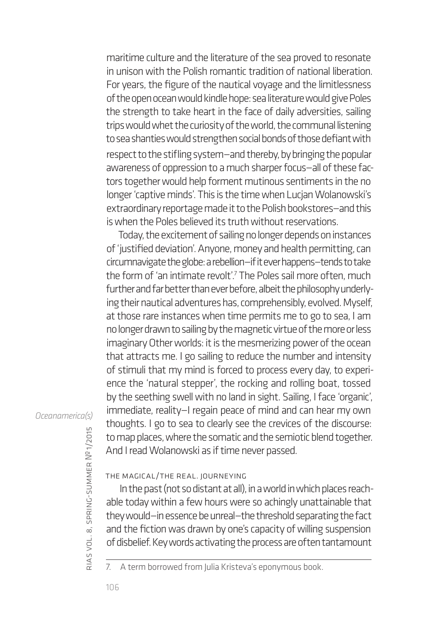maritime culture and the literature of the sea proved to resonate in unison with the Polish romantic tradition of national liberation. For years, the figure of the nautical voyage and the limitlessness of the open ocean would kindle hope: sea literature would give Poles the strength to take heart in the face of daily adversities, sailing trips would whet the curiosity of the world, the communal listening to sea shanties would strengthen social bonds of those defiant with respect to the stifling system–and thereby, by bringing the popular awareness of oppression to a much sharper focus—all of these factors together would help forment mutinous sentiments in the no longer 'captive minds'. This is the time when Lucjan Wolanowski's extraordinary reportage made it to the Polish bookstores—and this is when the Poles believed its truth without reservations.

Today, the excitement of sailing no longer depends on instances of 'justified deviation'. Anyone, money and health permitting, can circumnavigate the globe: a rebellion—if it ever happens—tends to take the form of 'an intimate revolt'.7 The Poles sail more often, much further and far better than ever before, albeit the philosophy underlying their nautical adventures has, comprehensibly, evolved. Myself, at those rare instances when time permits me to go to sea, I am no longer drawn to sailing by the magnetic virtue of the more or less imaginary Other worlds: it is the mesmerizing power of the ocean that attracts me. I go sailing to reduce the number and intensity of stimuli that my mind is forced to process every day, to experience the 'natural stepper', the rocking and rolling boat, tossed by the seething swell with no land in sight. Sailing, I face 'organic', immediate, reality—I regain peace of mind and can hear my own thoughts. I go to sea to clearly see the crevices of the discourse: to map places, where the somatic and the semiotic blend together. And I read Wolanowski as if time never passed.

## *Oceanamerica(s)*

the magical/the real. journeying

In the past (not so distant at all), in a world in which places reachable today within a few hours were so achingly unattainable that they would—in essence be unreal—the threshold separating the fact and the fiction was drawn by one's capacity of willing suspension of disbelief. Key words activating the process are often tantamount

7. A term borrowed from Julia Kristeva's eponymous book.

rias

vol. 8, spring-summer

№ 1/2015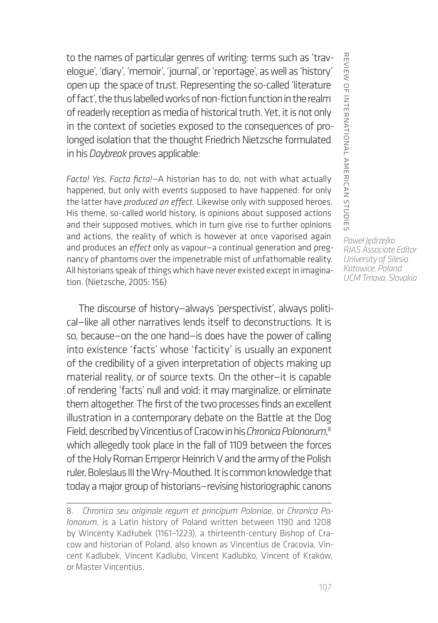to the names of particular genres of writing: terms such as 'travelogue', 'diary', 'memoir', 'journal', or 'reportage', as well as 'history' open up the space of trust. Representing the so-called 'literature of fact', the thus labelled works of non-fiction function in the realm of readerly reception as media of historical truth. Yet, it is not only in the context of societies exposed to the consequences of prolonged isolation that the thought Friedrich Nietzsche formulated in his *Daybreak* proves applicable:

*Facta! Yes, Facta ficta!*—A historian has to do, not with what actually happened, but only with events supposed to have happened: for only the latter have *produced an effect*. Likewise only with supposed heroes. His theme, so-called world history, is opinions about supposed actions and their supposed motives, which in turn give rise to further opinions and actions, the reality of which is however at once vaporised again and produces an *effect* only as vapour—a continual generation and pregnancy of phantoms over the impenetrable mist of unfathomable reality. All historians speak of things which have never existed except in imagination. (Nietzsche, 2005: 156)

The discourse of history—always 'perspectivist', always political—like all other narratives lends itself to deconstructions. It is so, because—on the one hand—is does have the power of calling into existence 'facts' whose 'facticity' is usually an exponent of the credibility of a given interpretation of objects making up material reality, or of source texts. On the other—it is capable of rendering 'facts' null and void: it may marginalize, or eliminate them altogether. The first of the two processes finds an excellent illustration in a contemporary debate on the Battle at the Dog Field, described by Vincentius of Cracow in his *Chronica Polonorum*, 8 which allegedly took place in the fall of 1109 between the forces of the Holy Roman Emperor Heinrich V and the army of the Polish ruler, Boleslaus III the Wry-Mouthed. It is common knowledge that today a major group of historians—revising historiographic canons

REVIEW OF INTERNATIONAL AMERICAN STUDIES review of international american studies

<sup>8.</sup> *Chronica seu originale regum et principum Poloniae*, or *Chronica Polonorum*, is a Latin history of Poland written between 1190 and 1208 by Wincenty Kadłubek (1161–1223), a thirteenth-century Bishop of Cracow and historian of Poland, also known as Vincentius de Cracovia, Vincent Kadlubek, Vincent Kadlubo, Vincent Kadlubko, Vincent of Kraków, or Master Vincentius.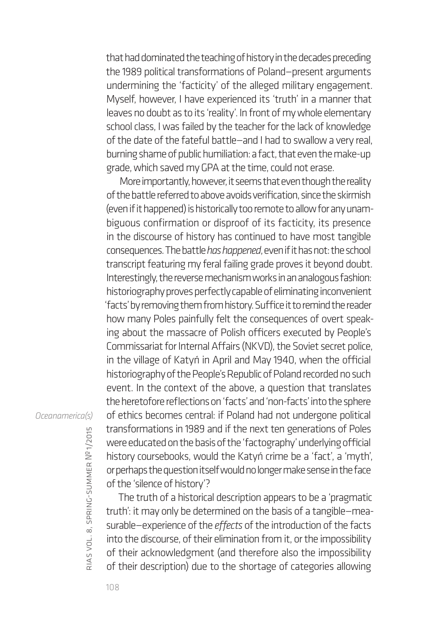that had dominated the teaching of history in the decades preceding the 1989 political transformations of Poland—present arguments undermining the 'facticity' of the alleged military engagement. Myself, however, I have experienced its 'truth' in a manner that leaves no doubt as to its 'reality'. In front of my whole elementary school class, I was failed by the teacher for the lack of knowledge of the date of the fateful battle—and I had to swallow a very real, burning shame of public humiliation: a fact, that even the make-up grade, which saved my GPA at the time, could not erase.

More importantly, however, it seems that even though the reality of the battle referred to above avoids verification, since the skirmish (even if it happened) is historically too remote to allow for any unambiguous confirmation or disproof of its facticity, its presence in the discourse of history has continued to have most tangible consequences. The battle *has happened*, even if it has not: the school transcript featuring my feral failing grade proves it beyond doubt. Interestingly, the reverse mechanism works in an analogous fashion: historiography proves perfectly capable of eliminating inconvenient 'facts' by removing them from history. Suffice it to remind the reader how many Poles painfully felt the consequences of overt speaking about the massacre of Polish officers executed by People's Commissariat for Internal Affairs (NKVD), the Soviet secret police, in the village of Katyń in April and May 1940, when the official historiography of the People's Republic of Poland recorded no such event. In the context of the above, a question that translates the heretofore reflections on 'facts' and 'non-facts' into the sphere of ethics becomes central: if Poland had not undergone political transformations in 1989 and if the next ten generations of Poles were educated on the basis of the 'factography' underlying official history coursebooks, would the Katyń crime be a 'fact', a 'myth', or perhaps the question itself would no longer make sense in the face of the 'silence of history'?

The truth of a historical description appears to be a 'pragmatic truth': it may only be determined on the basis of a tangible—measurable—experience of the *effects* of the introduction of the facts into the discourse, of their elimination from it, or the impossibility of their acknowledgment (and therefore also the impossibility of their description) due to the shortage of categories allowing

#### *Oceanamerica(s)*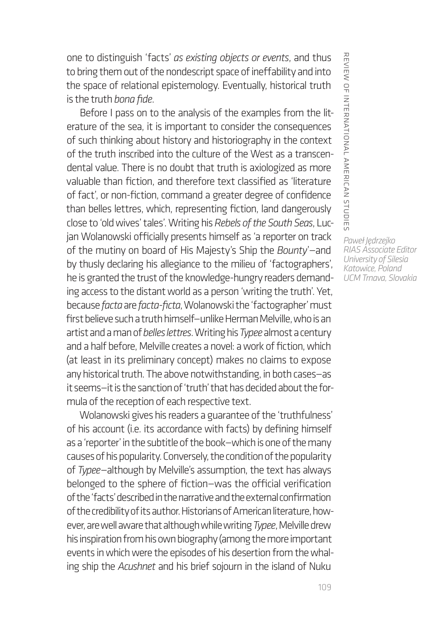one to distinguish 'facts' *as existing objects or events*, and thus to bring them out of the nondescript space of ineffability and into the space of relational epistemology. Eventually, historical truth is the truth *bona fide*.

Before I pass on to the analysis of the examples from the literature of the sea, it is important to consider the consequences of such thinking about history and historiography in the context of the truth inscribed into the culture of the West as a transcendental value. There is no doubt that truth is axiologized as more valuable than fiction, and therefore text classified as 'literature of fact', or non-fiction, command a greater degree of confidence than belles lettres, which, representing fiction, land dangerously close to 'old wives' tales'. Writing his *Rebels of the South Seas*, Lucjan Wolanowski officially presents himself as 'a reporter on track of the mutiny on board of His Majesty's Ship the *Bounty*'—and by thusly declaring his allegiance to the milieu of 'factographers', he is granted the trust of the knowledge-hungry readers demanding access to the distant world as a person 'writing the truth'. Yet, because *facta* are *facta-ficta*, Wolanowski the 'factographer' must first believe such a truth himself—unlike Herman Melville, who is an artist and a man of *belles lettres*. Writing his *Typee* almost a century and a half before, Melville creates a novel: a work of fiction, which (at least in its preliminary concept) makes no claims to expose any historical truth. The above notwithstanding, in both cases—as it seems—it is the sanction of 'truth' that has decided about the formula of the reception of each respective text.

Wolanowski gives his readers a guarantee of the 'truthfulness' of his account (i.e. its accordance with facts) by defining himself as a 'reporter' in the subtitle of the book—which is one of the many causes of his popularity. Conversely, the condition of the popularity of *Typee*—although by Melville's assumption, the text has always belonged to the sphere of fiction—was the official verification of the 'facts' described in the narrative and the external confirmation of the credibility of its author. Historians of American literature, however, are well aware that although while writing *Typee*, Melville drew his inspiration from his own biography (among the more important events in which were the episodes of his desertion from the whaling ship the *Acushnet* and his brief sojourn in the island of Nuku

REVIEW OF INTERNATIONAL AMERICAN STUDIES review of international american studies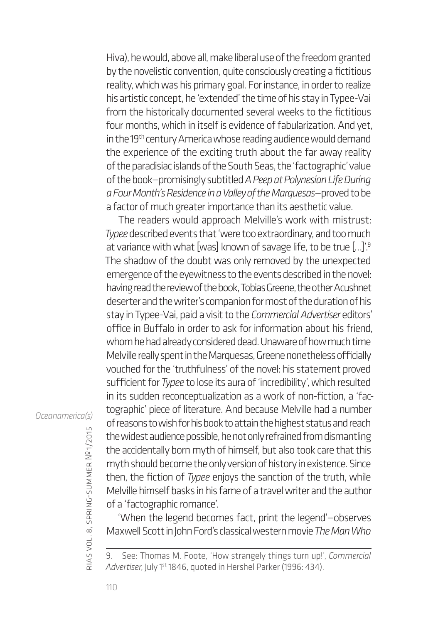Hiva), he would, above all, make liberal use of the freedom granted by the novelistic convention, quite consciously creating a fictitious reality, which was his primary goal. For instance, in order to realize his artistic concept, he 'extended' the time of his stay in Typee-Vai from the historically documented several weeks to the fictitious four months, which in itself is evidence of fabularization. And yet, in the 19<sup>th</sup> century America whose reading audience would demand the experience of the exciting truth about the far away reality of the paradisiac islands of the South Seas, the 'factographic' value of the book—promisingly subtitled *A Peep at Polynesian Life During a Four Month's Residence in a Valley of the Marquesas*—proved to be a factor of much greater importance than its aesthetic value.

The readers would approach Melville's work with mistrust: *Typee* described events that 'were too extraordinary, and too much at variance with what [was] known of savage life, to be true [...]'.<sup>9</sup> The shadow of the doubt was only removed by the unexpected emergence of the eyewitness to the events described in the novel: having read the review of the book, Tobias Greene, the other Acushnet deserter and the writer's companion for most of the duration of his stay in Typee-Vai, paid a visit to the *Commercial Advertiser* editors' office in Buffalo in order to ask for information about his friend, whom he had already considered dead. Unaware of how much time Melville really spent in the Marquesas, Greene nonetheless officially vouched for the 'truthfulness' of the novel: his statement proved sufficient for *Typee* to lose its aura of 'incredibility', which resulted in its sudden reconceptualization as a work of non-fiction, a 'factographic' piece of literature. And because Melville had a number of reasons to wish for his book to attain the highest status and reach the widest audience possible, he not only refrained from dismantling the accidentally born myth of himself, but also took care that this myth should become the only version of history in existence. Since then, the fiction of *Typee* enjoys the sanction of the truth, while Melville himself basks in his fame of a travel writer and the author of a 'factographic romance'.

'When the legend becomes fact, print the legend'—observes Maxwell Scott in John Ford's classical western movie *The Man Who* 

## *Oceanamerica(s)*

<sup>9.</sup> See: Thomas M. Foote, 'How strangely things turn up!', *Commercial*  Advertiser, July 1<sup>st</sup> 1846, quoted in Hershel Parker (1996: 434).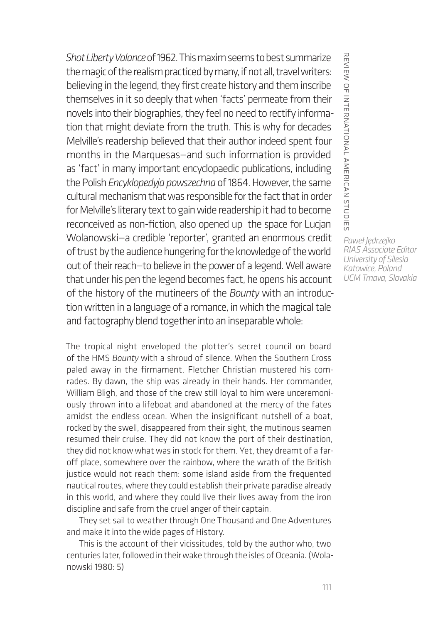*Shot Liberty Valance* of 1962. This maxim seems to best summarize the magic of the realism practiced by many, if not all, travel writers: believing in the legend, they first create history and them inscribe themselves in it so deeply that when 'facts' permeate from their novels into their biographies, they feel no need to rectify information that might deviate from the truth. This is why for decades Melville's readership believed that their author indeed spent four months in the Marquesas—and such information is provided as 'fact' in many important encyclopaedic publications, including the Polish *Encyklopedyja powszechna* of 1864. However, the same cultural mechanism that was responsible for the fact that in order for Melville's literary text to gain wide readership it had to become reconceived as non-fiction, also opened up the space for Lucjan Wolanowski—a credible 'reporter', granted an enormous credit of trust by the audience hungering for the knowledge of the world out of their reach—to believe in the power of a legend. Well aware that under his pen the legend becomes fact, he opens his account of the history of the mutineers of the *Bounty* with an introduction written in a language of a romance, in which the magical tale and factography blend together into an inseparable whole:

The tropical night enveloped the plotter's secret council on board of the HMS *Bounty* with a shroud of silence. When the Southern Cross paled away in the firmament, Fletcher Christian mustered his comrades. By dawn, the ship was already in their hands. Her commander, William Bligh, and those of the crew still loyal to him were unceremoniously thrown into a lifeboat and abandoned at the mercy of the fates amidst the endless ocean. When the insignificant nutshell of a boat, rocked by the swell, disappeared from their sight, the mutinous seamen resumed their cruise. They did not know the port of their destination, they did not know what was in stock for them. Yet, they dreamt of a faroff place, somewhere over the rainbow, where the wrath of the British justice would not reach them: some island aside from the frequented nautical routes, where they could establish their private paradise already in this world, and where they could live their lives away from the iron discipline and safe from the cruel anger of their captain.

They set sail to weather through One Thousand and One Adventures and make it into the wide pages of History.

This is the account of their vicissitudes, told by the author who, two centuries later, followed in their wake through the isles of Oceania. (Wolanowski 1980: 5)

REVIEW OF INTERNATIONAL AMERICAN STUDIES review of international american studies *Paweł Jędrzejko RIAS Associate Editor University of Silesia Katowice, Poland UCM Trnava, Slovakia*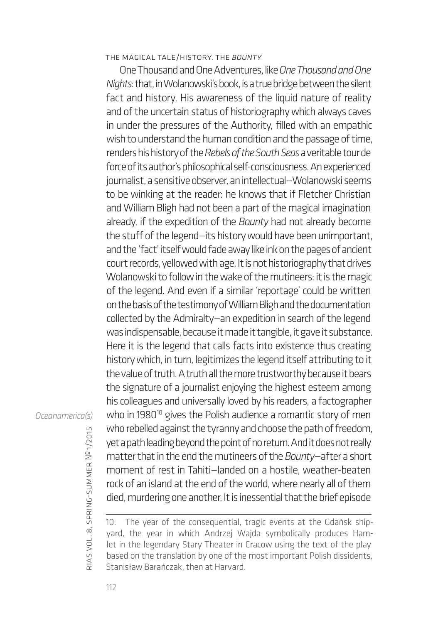#### the magical tale/history. the *bounty*

One Thousand and One Adventures, like *One Thousand and One Nights*: that, in Wolanowski's book, is a true bridge between the silent fact and history. His awareness of the liquid nature of reality and of the uncertain status of historiography which always caves in under the pressures of the Authority, filled with an empathic wish to understand the human condition and the passage of time, renders his history of the *Rebels of the South Seas* a veritable tour de force of its author's philosophical self-consciousness. An experienced journalist, a sensitive observer, an intellectual—Wolanowski seems to be winking at the reader: he knows that if Fletcher Christian and William Bligh had not been a part of the magical imagination already, if the expedition of the *Bounty* had not already become the stuff of the legend—its history would have been unimportant, and the 'fact' itself would fade away like ink on the pages of ancient court records, yellowed with age. It is not historiography that drives Wolanowski to follow in the wake of the mutineers: it is the magic of the legend. And even if a similar 'reportage' could be written on the basis of the testimony of William Bligh and the documentation collected by the Admiralty—an expedition in search of the legend was indispensable, because it made it tangible, it gave it substance. Here it is the legend that calls facts into existence thus creating history which, in turn, legitimizes the legend itself attributing to it the value of truth. A truth all the more trustworthy because it bears the signature of a journalist enjoying the highest esteem among his colleagues and universally loved by his readers, a factographer who in 1980<sup>10</sup> gives the Polish audience a romantic story of men who rebelled against the tyranny and choose the path of freedom, yet a path leading beyond the point of no return. And it does not really matter that in the end the mutineers of the *Bounty*—after a short moment of rest in Tahiti—landed on a hostile, weather-beaten rock of an island at the end of the world, where nearly all of them died, murdering one another. It is inessential that the brief episode

10. The year of the consequential, tragic events at the Gdańsk shipyard, the year in which Andrzej Wajda symbolically produces Hamlet in the legendary Stary Theater in Cracow using the text of the play based on the translation by one of the most important Polish dissidents, Stanisław Barańczak, then at Harvard.

#### *Oceanamerica(s)*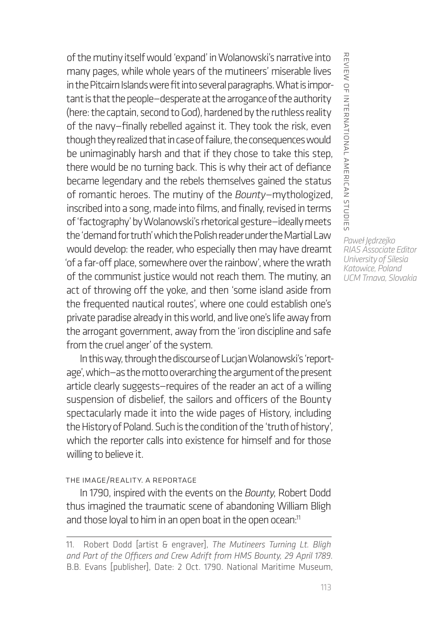of the mutiny itself would 'expand' in Wolanowski's narrative into many pages, while whole years of the mutineers' miserable lives in the Pitcairn Islands were fit into several paragraphs. What is important is that the people—desperate at the arrogance of the authority (here: the captain, second to God), hardened by the ruthless reality of the navy—finally rebelled against it. They took the risk, even though they realized that in case of failure, the consequences would be unimaginably harsh and that if they chose to take this step, there would be no turning back. This is why their act of defiance became legendary and the rebels themselves gained the status of romantic heroes. The mutiny of the *Bounty*—mythologized, inscribed into a song, made into films, and finally, revised in terms of 'factography' by Wolanowski's rhetorical gesture—ideally meets the 'demand for truth' which the Polish reader under the Martial Law would develop: the reader, who especially then may have dreamt 'of a far-off place, somewhere over the rainbow', where the wrath of the communist justice would not reach them. The mutiny, an act of throwing off the yoke, and then 'some island aside from the frequented nautical routes', where one could establish one's private paradise already in this world, and live one's life away from the arrogant government, away from the 'iron discipline and safe from the cruel anger' of the system.

In this way, through the discourse of Lucjan Wolanowski's 'reportage', which—as the motto overarching the argument of the present article clearly suggests—requires of the reader an act of a willing suspension of disbelief, the sailors and officers of the Bounty spectacularly made it into the wide pages of History, including the History of Poland. Such is the condition of the 'truth of history', which the reporter calls into existence for himself and for those willing to believe it.

#### the image/reality. a reportage

In 1790, inspired with the events on the *Bounty*, Robert Dodd thus imagined the traumatic scene of abandoning William Bligh and those loyal to him in an open boat in the open ocean:<sup>11</sup>

REVIEW OF INTERNATIONAL AMERICAN STUDIES review of international american studies

<sup>11.</sup> Robert Dodd [artist & engraver], *The Mutineers Turning Lt. Bligh and Part of the Officers and Crew Adrift from HMS Bounty, 29 April 1789*. B.B. Evans [publisher], Date: 2 Oct. 1790. National Maritime Museum,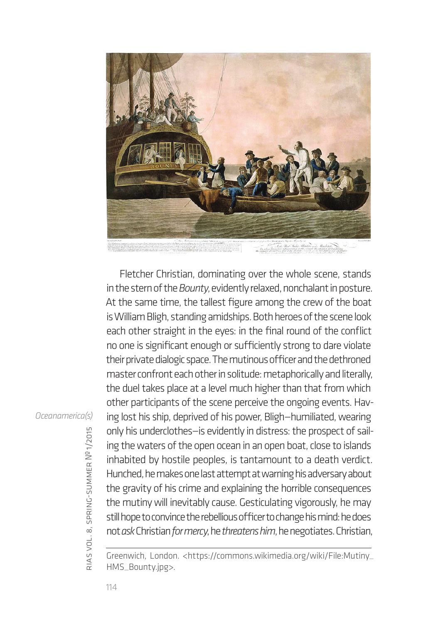

Fletcher Christian, dominating over the whole scene, stands in the stern of the *Bounty*, evidently relaxed, nonchalant in posture. At the same time, the tallest figure among the crew of the boat is William Bligh, standing amidships. Both heroes of the scene look each other straight in the eyes: in the final round of the conflict no one is significant enough or sufficiently strong to dare violate their private dialogic space. The mutinous officer and the dethroned master confront each other in solitude: metaphorically and literally, the duel takes place at a level much higher than that from which other participants of the scene perceive the ongoing events. Having lost his ship, deprived of his power, Bligh—humiliated, wearing only his underclothes—is evidently in distress: the prospect of sailing the waters of the open ocean in an open boat, close to islands inhabited by hostile peoples, is tantamount to a death verdict. Hunched, he makes one last attempt at warning his adversary about the gravity of his crime and explaining the horrible consequences the mutiny will inevitably cause. Gesticulating vigorously, he may still hope to convince the rebellious officer to change his mind: he does not *ask* Christian *for mercy*, he *threatens him*, he negotiates. Christian,

Greenwich, London. <https://commons.wikimedia.org/wiki/File:Mutiny\_ HMS\_Bounty.jpg>.

*Oceanamerica(s)*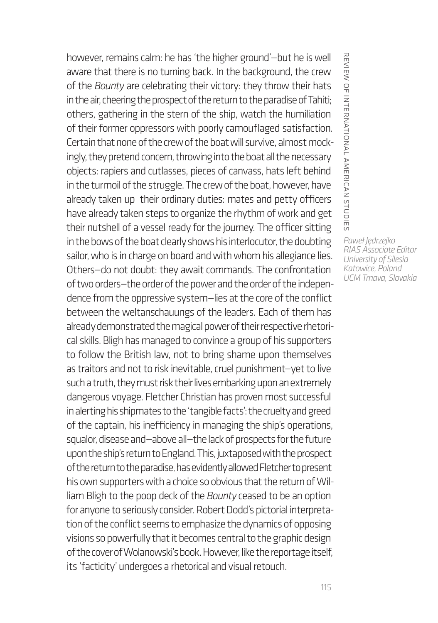however, remains calm: he has 'the higher ground'—but he is well aware that there is no turning back. In the background, the crew of the *Bounty* are celebrating their victory: they throw their hats in the air, cheering the prospect of the return to the paradise of Tahiti; others, gathering in the stern of the ship, watch the humiliation of their former oppressors with poorly camouflaged satisfaction. Certain that none of the crew of the boat will survive, almost mockingly, they pretend concern, throwing into the boat all the necessary objects: rapiers and cutlasses, pieces of canvass, hats left behind in the turmoil of the struggle. The crew of the boat, however, have already taken up their ordinary duties: mates and petty officers have already taken steps to organize the rhythm of work and get their nutshell of a vessel ready for the journey. The officer sitting in the bows of the boat clearly shows his interlocutor, the doubting sailor, who is in charge on board and with whom his allegiance lies. Others—do not doubt: they await commands. The confrontation of two orders—the order of the power and the order of the independence from the oppressive system—lies at the core of the conflict between the weltanschauungs of the leaders. Each of them has already demonstrated the magical power of their respective rhetorical skills. Bligh has managed to convince a group of his supporters to follow the British law, not to bring shame upon themselves as traitors and not to risk inevitable, cruel punishment—yet to live such a truth, they must risk their lives embarking upon an extremely dangerous voyage. Fletcher Christian has proven most successful in alerting his shipmates to the 'tangible facts': the cruelty and greed of the captain, his inefficiency in managing the ship's operations, squalor, disease and—above all—the lack of prospects for the future upon the ship's return to England. This, juxtaposed with the prospect of the return to the paradise, has evidently allowed Fletcher to present his own supporters with a choice so obvious that the return of William Bligh to the poop deck of the *Bounty* ceased to be an option for anyone to seriously consider. Robert Dodd's pictorial interpretation of the conflict seems to emphasize the dynamics of opposing visions so powerfully that it becomes central to the graphic design of the cover of Wolanowski's book. However, like the reportage itself, its 'facticity' undergoes a rhetorical and visual retouch.

*Paweł Jędrzejko*

review of international american studies

REVIEW OF INTERNATIONAL AMERICAN STUDIES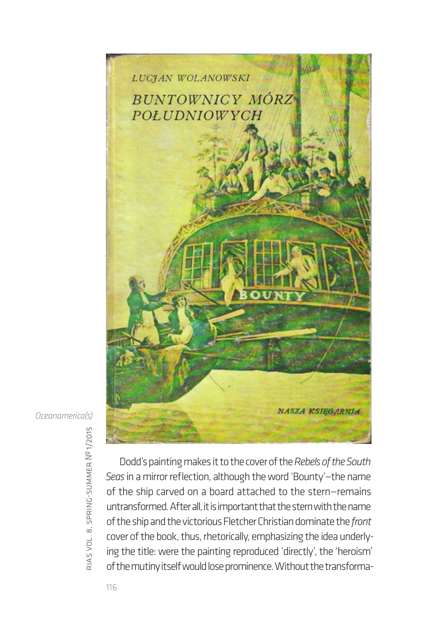

*Oceanamerica(s)*

rias vol. 8, spring-summer № 1/2015

Dodd's painting makes it to the cover of the *Rebels of the South Seas* in a mirror reflection, although the word 'Bounty'—the name of the ship carved on a board attached to the stern—remains untransformed. After all, it is important that the stern with the name of the ship and the victorious Fletcher Christian dominate the *front* cover of the book, thus, rhetorically, emphasizing the idea underlying the title: were the painting reproduced 'directly', the 'heroism' of the mutiny itself would lose prominence. Without the transforma-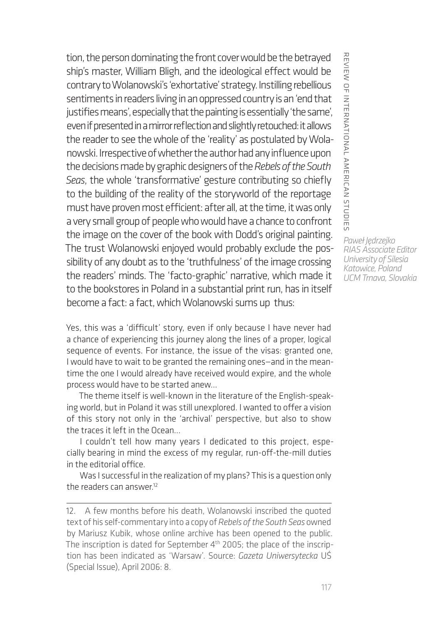tion, the person dominating the front cover would be the betrayed ship's master, William Bligh, and the ideological effect would be contrary to Wolanowski's 'exhortative' strategy. Instilling rebellious sentiments in readers living in an oppressed country is an 'end that justifies means', especially that the painting is essentially 'the same', even if presented in a mirror reflection and slightly retouched: it allows the reader to see the whole of the 'reality' as postulated by Wolanowski. Irrespective of whether the author had any influence upon the decisions made by graphic designers of the *Rebels of the South Seas*, the whole 'transformative' gesture contributing so chiefly to the building of the reality of the storyworld of the reportage must have proven most efficient: after all, at the time, it was only a very small group of people who would have a chance to confront the image on the cover of the book with Dodd's original painting. The trust Wolanowski enjoyed would probably exclude the possibility of any doubt as to the 'truthfulness' of the image crossing the readers' minds. The 'facto-graphic' narrative, which made it to the bookstores in Poland in a substantial print run, has in itself become a fact: a fact, which Wolanowski sums up thus:

Yes, this was a 'difficult' story, even if only because I have never had a chance of experiencing this journey along the lines of a proper, logical sequence of events. For instance, the issue of the visas: granted one, I would have to wait to be granted the remaining ones—and in the meantime the one I would already have received would expire, and the whole process would have to be started anew…

The theme itself is well-known in the literature of the English-speaking world, but in Poland it was still unexplored. I wanted to offer a vision of this story not only in the 'archival' perspective, but also to show the traces it left in the Ocean…

I couldn't tell how many years I dedicated to this project, especially bearing in mind the excess of my regular, run-off-the-mill duties in the editorial office.

Was I successful in the realization of my plans? This is a question only the readers can answer $^{12}$ 

REVIEW OF INTERNATIONAL AMERICAN STUDIES review of international american studies

<sup>12.</sup> A few months before his death, Wolanowski inscribed the quoted text of his self-commentary into a copy of *Rebels of the South Seas* owned by Mariusz Kubik, whose online archive has been opened to the public. The inscription is dated for September 4<sup>th</sup> 2005; the place of the inscription has been indicated as 'Warsaw'. Source: *Gazeta Uniwersytecka* UŚ (Special Issue), April 2006: 8.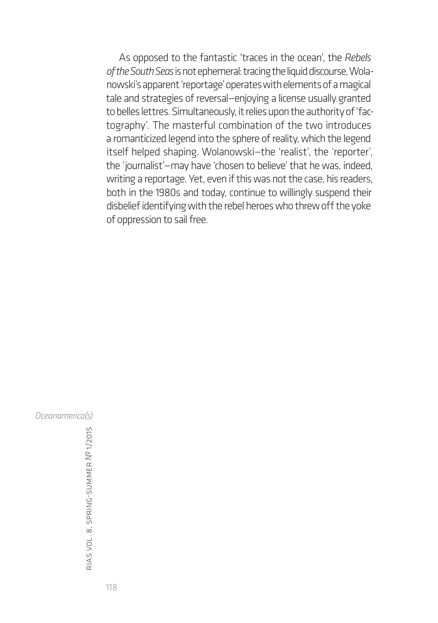As opposed to the fantastic 'traces in the ocean', the *Rebels of the South Seas* is not ephemeral: tracing the liquid discourse, Wolanowski's apparent 'reportage' operates with elements of a magical tale and strategies of reversal—enjoying a license usually granted to belles lettres. Simultaneously, it relies upon the authority of 'factography'. The masterful combination of the two introduces a romanticized legend into the sphere of reality, which the legend itself helped shaping. Wolanowski—the 'realist', the 'reporter', the 'journalist'—may have 'chosen to believe' that he was, indeed, writing a reportage. Yet, even if this was not the case, his readers, both in the 1980s and today, continue to willingly suspend their disbelief identifying with the rebel heroes who threw off the yoke of oppression to sail free.

*Oceanamerica(s)*